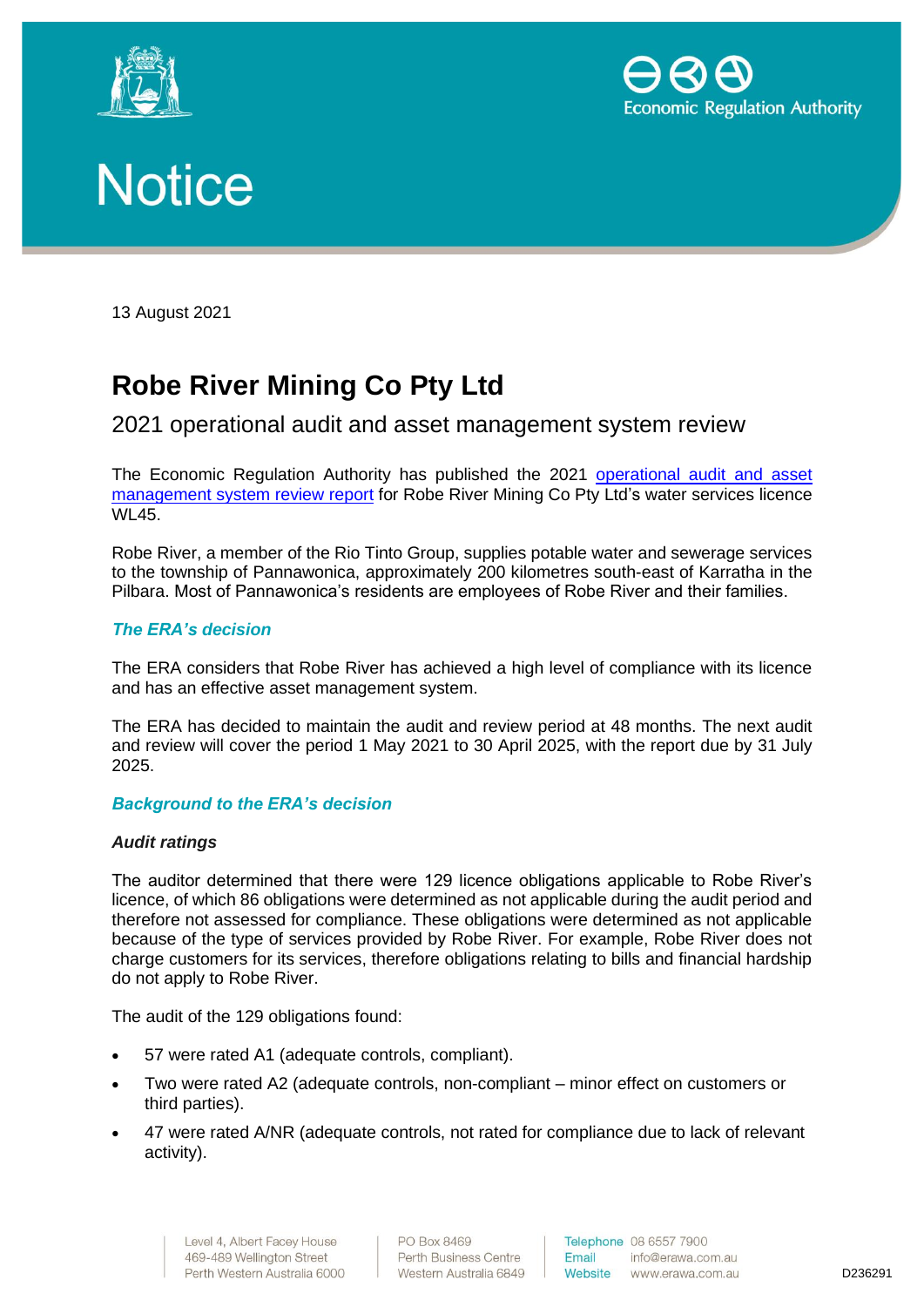





13 August 2021

# **Robe River Mining Co Pty Ltd**

# 2021 operational audit and asset management system review

The Economic Regulation Authority has published the 2021 [operational audit and asset](http://www.erawa.com.au/cproot/22117/2/Audit-and-review-report-redacted---2021-audit-and-review---WL045---Robe-River-Mining-Co-Pty-Ltd.PDF)  [management system review](http://www.erawa.com.au/cproot/22117/2/Audit-and-review-report-redacted---2021-audit-and-review---WL045---Robe-River-Mining-Co-Pty-Ltd.PDF) report for Robe River Mining Co Pty Ltd's water services licence WL45.

Robe River, a member of the Rio Tinto Group, supplies potable water and sewerage services to the township of Pannawonica, approximately 200 kilometres south-east of Karratha in the Pilbara. Most of Pannawonica's residents are employees of Robe River and their families.

# *The ERA's decision*

The ERA considers that Robe River has achieved a high level of compliance with its licence and has an effective asset management system.

The ERA has decided to maintain the audit and review period at 48 months. The next audit and review will cover the period 1 May 2021 to 30 April 2025, with the report due by 31 July 2025.

# *Background to the ERA's decision*

# *Audit ratings*

The auditor determined that there were 129 licence obligations applicable to Robe River's licence, of which 86 obligations were determined as not applicable during the audit period and therefore not assessed for compliance. These obligations were determined as not applicable because of the type of services provided by Robe River. For example, Robe River does not charge customers for its services, therefore obligations relating to bills and financial hardship do not apply to Robe River.

The audit of the 129 obligations found:

- 57 were rated A1 (adequate controls, compliant).
- Two were rated A2 (adequate controls, non-compliant minor effect on customers or third parties).
- 47 were rated A/NR (adequate controls, not rated for compliance due to lack of relevant activity).